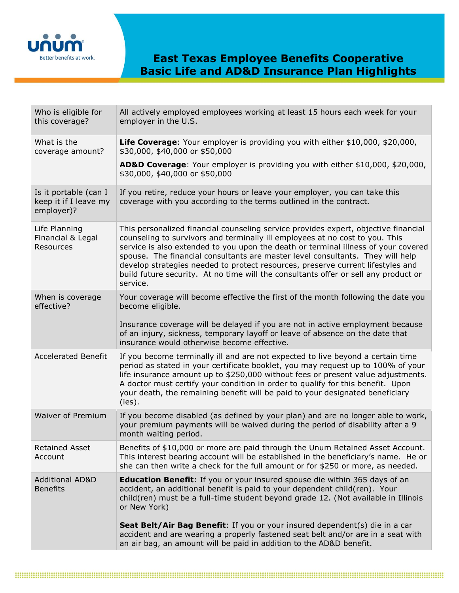

| Who is eligible for<br>this coverage?                        | All actively employed employees working at least 15 hours each week for your<br>employer in the U.S.                                                                                                                                                                                                                                                                                                                                                                                                                              |
|--------------------------------------------------------------|-----------------------------------------------------------------------------------------------------------------------------------------------------------------------------------------------------------------------------------------------------------------------------------------------------------------------------------------------------------------------------------------------------------------------------------------------------------------------------------------------------------------------------------|
| What is the<br>coverage amount?                              | Life Coverage: Your employer is providing you with either \$10,000, \$20,000,<br>\$30,000, \$40,000 or \$50,000                                                                                                                                                                                                                                                                                                                                                                                                                   |
|                                                              | AD&D Coverage: Your employer is providing you with either \$10,000, \$20,000,<br>\$30,000, \$40,000 or \$50,000                                                                                                                                                                                                                                                                                                                                                                                                                   |
| Is it portable (can I<br>keep it if I leave my<br>employer)? | If you retire, reduce your hours or leave your employer, you can take this<br>coverage with you according to the terms outlined in the contract.                                                                                                                                                                                                                                                                                                                                                                                  |
| Life Planning<br>Financial & Legal<br>Resources              | This personalized financial counseling service provides expert, objective financial<br>counseling to survivors and terminally ill employees at no cost to you. This<br>service is also extended to you upon the death or terminal illness of your covered<br>spouse. The financial consultants are master level consultants. They will help<br>develop strategies needed to protect resources, preserve current lifestyles and<br>build future security. At no time will the consultants offer or sell any product or<br>service. |
| When is coverage<br>effective?                               | Your coverage will become effective the first of the month following the date you<br>become eligible.<br>Insurance coverage will be delayed if you are not in active employment because<br>of an injury, sickness, temporary layoff or leave of absence on the date that<br>insurance would otherwise become effective.                                                                                                                                                                                                           |
| <b>Accelerated Benefit</b>                                   | If you become terminally ill and are not expected to live beyond a certain time<br>period as stated in your certificate booklet, you may request up to 100% of your<br>life insurance amount up to \$250,000 without fees or present value adjustments.<br>A doctor must certify your condition in order to qualify for this benefit. Upon<br>your death, the remaining benefit will be paid to your designated beneficiary<br>(ies).                                                                                             |
| Waiver of Premium                                            | If you become disabled (as defined by your plan) and are no longer able to work,<br>your premium payments will be waived during the period of disability after a 9<br>month waiting period.                                                                                                                                                                                                                                                                                                                                       |
| <b>Retained Asset</b><br>Account                             | Benefits of \$10,000 or more are paid through the Unum Retained Asset Account.<br>This interest bearing account will be established in the beneficiary's name. He or<br>she can then write a check for the full amount or for \$250 or more, as needed.                                                                                                                                                                                                                                                                           |
| <b>Additional AD&amp;D</b><br><b>Benefits</b>                | <b>Education Benefit:</b> If you or your insured spouse die within 365 days of an<br>accident, an additional benefit is paid to your dependent child(ren). Your<br>child(ren) must be a full-time student beyond grade 12. (Not available in Illinois<br>or New York)                                                                                                                                                                                                                                                             |
|                                                              | Seat Belt/Air Bag Benefit: If you or your insured dependent(s) die in a car<br>accident and are wearing a properly fastened seat belt and/or are in a seat with<br>an air bag, an amount will be paid in addition to the AD&D benefit.                                                                                                                                                                                                                                                                                            |